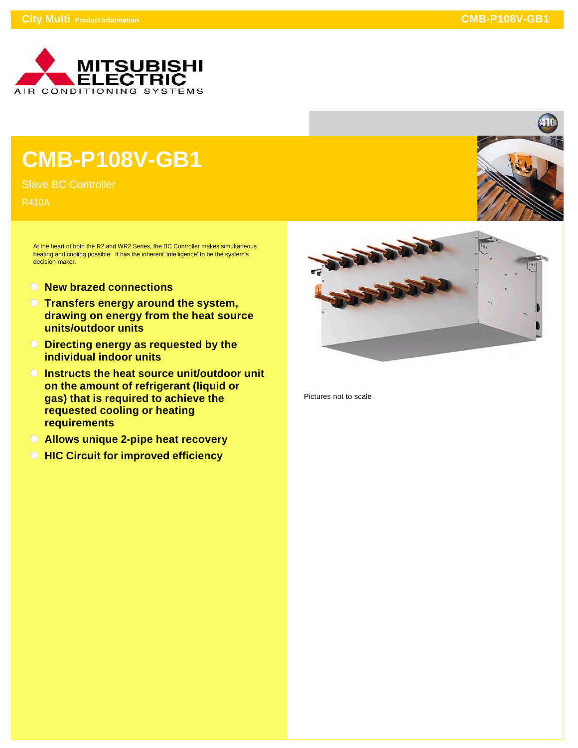

## **CMB-P108V-GB1**

Slave BC Controller

R410A

At the heart of both the R2 and WR2 Series, the BC Controller makes simultaneous heating and cooling possible. It has the inherent 'intelligence' to be the system's decision-maker.

- **New brazed connections**
- **Transfers energy around the system, drawing on energy from the heat source units/outdoor units**
- **Directing energy as requested by the individual indoor units**
- **Instructs the heat source unit/outdoor unit on the amount of refrigerant (liquid or gas) that is required to achieve the requested cooling or heating requirements**
- **Allows unique 2-pipe heat recovery**
- **C** HIC Circuit for improved efficiency



Pictures not to scale